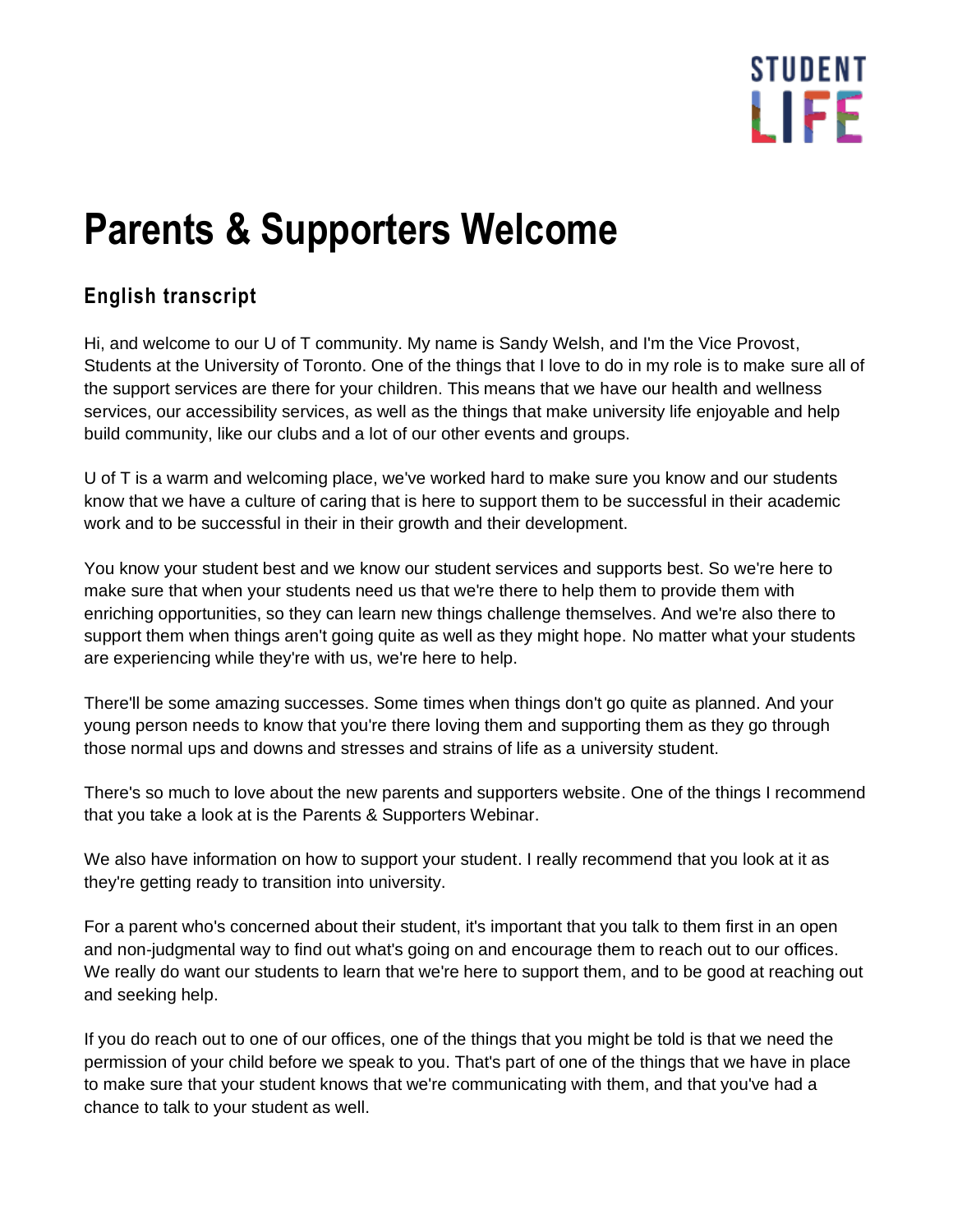## **STUDENT** LIFF

## **Parents & Supporters Welcome**

## **English transcript**

Hi, and welcome to our U of T community. My name is Sandy Welsh, and I'm the Vice Provost, Students at the University of Toronto. One of the things that I love to do in my role is to make sure all of the support services are there for your children. This means that we have our health and wellness services, our accessibility services, as well as the things that make university life enjoyable and help build community, like our clubs and a lot of our other events and groups.

U of T is a warm and welcoming place, we've worked hard to make sure you know and our students know that we have a culture of caring that is here to support them to be successful in their academic work and to be successful in their in their growth and their development.

You know your student best and we know our student services and supports best. So we're here to make sure that when your students need us that we're there to help them to provide them with enriching opportunities, so they can learn new things challenge themselves. And we're also there to support them when things aren't going quite as well as they might hope. No matter what your students are experiencing while they're with us, we're here to help.

There'll be some amazing successes. Some times when things don't go quite as planned. And your young person needs to know that you're there loving them and supporting them as they go through those normal ups and downs and stresses and strains of life as a university student.

There's so much to love about the new parents and supporters website. One of the things I recommend that you take a look at is the Parents & Supporters Webinar.

We also have information on how to support your student. I really recommend that you look at it as they're getting ready to transition into university.

For a parent who's concerned about their student, it's important that you talk to them first in an open and non-judgmental way to find out what's going on and encourage them to reach out to our offices. We really do want our students to learn that we're here to support them, and to be good at reaching out and seeking help.

If you do reach out to one of our offices, one of the things that you might be told is that we need the permission of your child before we speak to you. That's part of one of the things that we have in place to make sure that your student knows that we're communicating with them, and that you've had a chance to talk to your student as well.